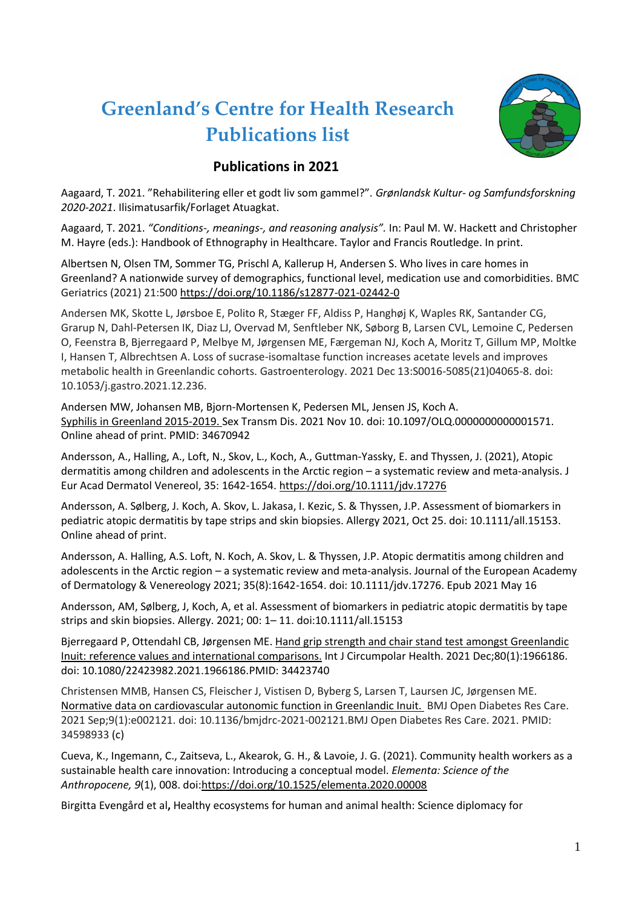## **Greenland's Centre for Health Research Publications list**



## **Publications in 2021**

Aagaard, T. 2021. "Rehabilitering eller et godt liv som gammel?". *Grønlandsk Kultur- og Samfundsforskning 2020-2021*. Ilisimatusarfik/Forlaget Atuagkat.

Aagaard, T. 2021. *"Conditions-, meanings-, and reasoning analysis".* In: Paul M. W. Hackett and Christopher M. Hayre (eds.): Handbook of Ethnography in Healthcare. Taylor and Francis Routledge. In print.

Albertsen N, Olsen TM, Sommer TG, Prischl A, Kallerup H, Andersen S. Who lives in care homes in Greenland? A nationwide survey of demographics, functional level, medication use and comorbidities. BMC Geriatrics (2021) 21:500<https://doi.org/10.1186/s12877-021-02442-0>

Andersen MK, Skotte L, Jørsboe E, Polito R, Stæger FF, Aldiss P, Hanghøj K, Waples RK, Santander CG, Grarup N, Dahl-Petersen IK, Diaz LJ, Overvad M, Senftleber NK, Søborg B, Larsen CVL, Lemoine C, Pedersen O, Feenstra B, Bjerregaard P, Melbye M, Jørgensen ME, Færgeman NJ, Koch A, Moritz T, Gillum MP, Moltke I, Hansen T, Albrechtsen A. Loss of sucrase-isomaltase function increases acetate levels and improves metabolic health in Greenlandic cohorts. Gastroenterology. 2021 Dec 13:S0016-5085(21)04065-8. doi: 10.1053/j.gastro.2021.12.236.

Andersen MW, Johansen MB, Bjorn-Mortensen K, Pedersen ML, Jensen JS, Koch A. [Syphilis in Greenland 2015-2019. S](https://url12.mailanyone.net/v1/?m=1nGOaH-000530-64&i=57e1b682&c=bRo1cD_-53xChJYRZIe-1BvKXI9hdA3itUVi6LO9AA4USdrWWw8veXkS4wN8eKhuWsCjm-NX-J1f8OQX2La8k5JqKuE9uW1wJgYX1nCLyMW3LQC6x9kibv-xI7TY-hQpPUbonLdCfOUGH7TB6fozbWIJ20as1XAZVEEdcKbzjLBq9ABnwa3uK3YrhUXwcbc5xDXTf9sPWsuoxyq7ndp4M29ZMBcYYfqgigaNJ3zospZgK2FLKDFLZ7ke9eFu-IfE)ex Transm Dis. 2021 Nov 10. doi: 10.1097/OLQ.0000000000001571. Online ahead of print. PMID: 34670942

Andersson, A., Halling, A., Loft, N., Skov, L., Koch, A., Guttman-Yassky, E. and Thyssen, J. (2021), Atopic dermatitis among children and adolescents in the Arctic region – a systematic review and meta-analysis. J Eur Acad Dermatol Venereol, 35: 1642-1654. <https://doi.org/10.1111/jdv.17276>

Andersson, A. Sølberg, J. Koch, A. Skov, L. Jakasa, I. Kezic, S. & Thyssen, J.P. Assessment of biomarkers in pediatric atopic dermatitis by tape strips and skin biopsies. Allergy 2021, Oct 25. doi: 10.1111/all.15153. Online ahead of print.

Andersson, A. Halling, A.S. Loft, N. Koch, A. Skov, L. & Thyssen, J.P. Atopic dermatitis among children and adolescents in the Arctic region – a systematic review and meta-analysis. Journal of the European Academy of Dermatology & Venereology 2021; 35(8):1642-1654. doi: 10.1111/jdv.17276. Epub 2021 May 16

Andersson, AM, Sølberg, J, Koch, A, et al. Assessment of biomarkers in pediatric atopic dermatitis by tape strips and skin biopsies. Allergy. 2021; 00: 1– 11. doi:10.1111/all.15153

Bjerregaard P, Ottendahl CB, Jørgensen ME. [Hand grip strength and chair stand test amongst Greenlandic](https://pubmed.ncbi.nlm.nih.gov/34423740/)  [Inuit: reference values and international comparisons.](https://pubmed.ncbi.nlm.nih.gov/34423740/) Int J Circumpolar Health. 2021 Dec;80(1):1966186. doi: 10.1080/22423982.2021.1966186.PMID: 34423740

Christensen MMB, Hansen CS, Fleischer J, Vistisen D, Byberg S, Larsen T, Laursen JC, Jørgensen ME. [Normative data on cardiovascular autonomic function in Greenlandic Inuit.](https://pubmed.ncbi.nlm.nih.gov/34598933/) BMJ Open Diabetes Res Care. 2021 Sep;9(1):e002121. doi: 10.1136/bmjdrc-2021-002121.BMJ Open Diabetes Res Care. 2021. PMID: 34598933 (c)

Cueva, K., Ingemann, C., Zaitseva, L., Akearok, G. H., & Lavoie, J. G. (2021). Community health workers as a sustainable health care innovation: Introducing a conceptual model. *Elementa: Science of the Anthropocene, 9*(1), 008. doi[:https://doi.org/10.1525/elementa.2020.00008](https://doi.org/10.1525/elementa.2020.00008)

Birgitta Evengård et al**,** Healthy ecosystems for human and animal health: Science diplomacy for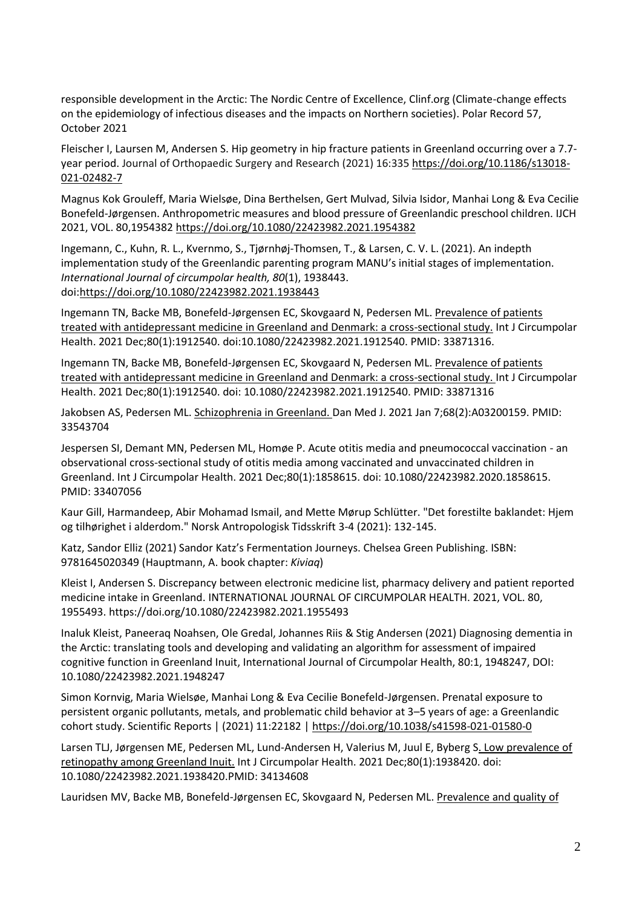responsible development in the Arctic: The Nordic Centre of Excellence, Clinf.org (Climate-change effects on the epidemiology of infectious diseases and the impacts on Northern societies). Polar Record 57, October 2021

Fleischer I, Laursen M, Andersen S. Hip geometry in hip fracture patients in Greenland occurring over a 7.7 year period. Journal of Orthopaedic Surgery and Research (2021) 16:335 [https://doi.org/10.1186/s13018-](https://doi.org/10.1186/s13018-021-02482-7) [021-02482-7](https://doi.org/10.1186/s13018-021-02482-7)

Magnus Kok Grouleff, Maria Wielsøe, Dina Berthelsen, Gert Mulvad, Silvia Isidor, Manhai Long & Eva Cecilie Bonefeld-Jørgensen. Anthropometric measures and blood pressure of Greenlandic preschool children. IJCH 2021, VOL. 80,1954382 <https://doi.org/10.1080/22423982.2021.1954382>

Ingemann, C., Kuhn, R. L., Kvernmo, S., Tjørnhøj-Thomsen, T., & Larsen, C. V. L. (2021). An indepth implementation study of the Greenlandic parenting program MANU's initial stages of implementation. *International Journal of circumpolar health, 80*(1), 1938443. doi[:https://doi.org/10.1080/22423982.2021.1938443](https://doi.org/10.1080/22423982.2021.1938443)

Ingemann TN, Backe MB, Bonefeld-Jørgensen EC, Skovgaard N, Pedersen ML[. Prevalence of patients](https://pubmed.ncbi.nlm.nih.gov/33871316/)  [treated with antidepressant medicine in Greenland and Denmark: a cross-sectional study.](https://pubmed.ncbi.nlm.nih.gov/33871316/) Int J Circumpolar Health. 2021 Dec;80(1):1912540. doi:10.1080/22423982.2021.1912540. PMID: 33871316.

Ingemann TN, Backe MB, Bonefeld-Jørgensen EC, Skovgaard N, Pedersen ML[. Prevalence of patients](https://url12.mailanyone.net/v1/?m=1nGOaH-000530-64&i=57e1b682&c=xDrvKeUybpNuEAtTkpMJhC6sRgE9rgYs6lPtczxYnlisJ0XLx9ptMpaAHz7u1GyCP6rHRZRft8rR4IfzekSEoITlJmsEPw-nrg9NDSOfq2fhutpwH171JTioSbMmD4qQ65SVyVceweK7UpXWcgUPAZ2ugaD3ln6Yhf9fPJXBoxTOqwnPeWVL6OtxjPt7HJwVC6RUR_ws5YxNAtBT4AawVY-oMFBsNhjEtM_BxlSpbp64flZrSSIvE8LVY6e6yK6q)  [treated with antidepressant medicine in Greenland and Denmark: a cross-sectional study. I](https://url12.mailanyone.net/v1/?m=1nGOaH-000530-64&i=57e1b682&c=xDrvKeUybpNuEAtTkpMJhC6sRgE9rgYs6lPtczxYnlisJ0XLx9ptMpaAHz7u1GyCP6rHRZRft8rR4IfzekSEoITlJmsEPw-nrg9NDSOfq2fhutpwH171JTioSbMmD4qQ65SVyVceweK7UpXWcgUPAZ2ugaD3ln6Yhf9fPJXBoxTOqwnPeWVL6OtxjPt7HJwVC6RUR_ws5YxNAtBT4AawVY-oMFBsNhjEtM_BxlSpbp64flZrSSIvE8LVY6e6yK6q)nt J Circumpolar Health. 2021 Dec;80(1):1912540. doi: 10.1080/22423982.2021.1912540. PMID: 33871316

Jakobsen AS, Pedersen ML. [Schizophrenia in Greenland. D](https://url12.mailanyone.net/v1/?m=1nGOaH-000530-64&i=57e1b682&c=0V4odriaOavKN-gFrt9GO7ym1H0-gIsW6RhX49x_PgShP1Ah7onx8ZmUjpfeHsa9e3sav3YNbwaIyBdMz8EedUpz4eP7VjtxACQvHe3QPpDG_2geKE3vIVoWX68I3UGQ8R5Uog5FUPLNSJzoVFRzz-EQT6d2SSPwUjteRtOfrJTJgNJadrXMko474IHaA9GoHBcO8hhRzYcnZaoXyVHGlFLAfprOLLOB00X864kr9dRWWr5rryfqR62l-lQAYoWu)an Med J. 2021 Jan 7;68(2):A03200159. PMID: 33543704

Jespersen SI, Demant MN, Pedersen ML, Homøe P. Acute otitis media and pneumococcal vaccination - an observational cross-sectional study of otitis media among vaccinated and unvaccinated children in Greenland. Int J Circumpolar Health. 2021 Dec;80(1):1858615. doi: 10.1080/22423982.2020.1858615. PMID: 33407056

Kaur Gill, Harmandeep, Abir Mohamad Ismail, and Mette Mørup Schlütter. "Det forestilte baklandet: Hjem og tilhørighet i alderdom." Norsk Antropologisk Tidsskrift 3-4 (2021): 132-145.

Katz, Sandor Elliz (2021) Sandor Katz's Fermentation Journeys. Chelsea Green Publishing. ISBN: 9781645020349 (Hauptmann, A. book chapter: *Kiviaq*)

Kleist I, Andersen S. Discrepancy between electronic medicine list, pharmacy delivery and patient reported medicine intake in Greenland. INTERNATIONAL JOURNAL OF CIRCUMPOLAR HEALTH. 2021, VOL. 80, 1955493. https://doi.org/10.1080/22423982.2021.1955493

Inaluk Kleist, Paneeraq Noahsen, Ole Gredal, Johannes Riis & Stig Andersen (2021) Diagnosing dementia in the Arctic: translating tools and developing and validating an algorithm for assessment of impaired cognitive function in Greenland Inuit, International Journal of Circumpolar Health, 80:1, 1948247, DOI: 10.1080/22423982.2021.1948247

Simon Kornvig, Maria Wielsøe, Manhai Long & Eva Cecilie Bonefeld-Jørgensen. Prenatal exposure to persistent organic pollutants, metals, and problematic child behavior at 3–5 years of age: a Greenlandic cohort study. Scientific Reports | (2021) 11:22182 [| https://doi.org/10.1038/s41598-021-01580-0](https://doi.org/10.1038/s41598-021-01580-0)

Larsen TLJ, [Jørgensen ME, Pedersen ML, Lund-Andersen H, Valerius M, Juul E, Byberg S. Low prevalence of](https://pubmed.ncbi.nlm.nih.gov/34134608/)  [retinopathy among Greenland Inuit.](https://pubmed.ncbi.nlm.nih.gov/34134608/) Int J Circumpolar Health. 2021 Dec;80(1):1938420. doi: 10.1080/22423982.2021.1938420.PMID: 34134608

Lauridsen MV, Backe MB, Bonefeld-Jørgensen EC, Skovgaard N, Pedersen ML. [Prevalence and quality of](https://url12.mailanyone.net/v1/?m=1nGOaH-000530-64&i=57e1b682&c=HLF_wtTtP6gQj64acLgAI7soIEMR9JLJEtvL2zyLH6Ewx9Qavuo8r6smWQJuyYFRltgsyaOLaHcpW2et_U0tSkjQbSgSYleGlbYE5SYRYvqOESdQ6X_2rJD8UsfuGUoBVRiwh4AwkSkjXcC7VOutcXCpUxaGaoqobJKuvwzEHXgHToo-3ytAyVaNhuDNmzuDYAGjhsAy4QRACrG_zhbP9bFJ1-EmXYOAg7humHNLGoBSONQe8_1N2N8cc_Hv-Fg5)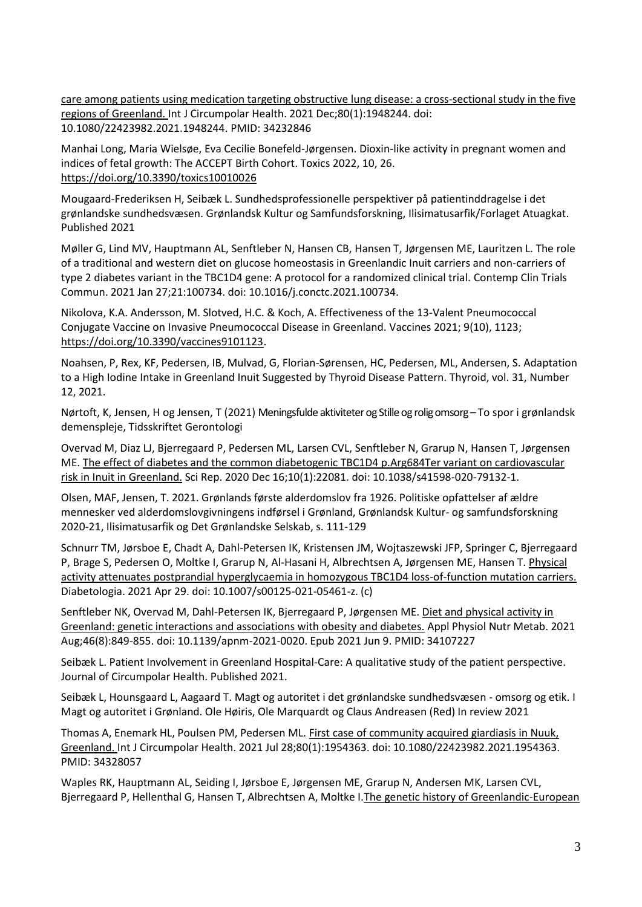[care among patients using medication targeting obstructive lung disease: a cross-sectional study in the five](https://url12.mailanyone.net/v1/?m=1nGOaH-000530-64&i=57e1b682&c=HLF_wtTtP6gQj64acLgAI7soIEMR9JLJEtvL2zyLH6Ewx9Qavuo8r6smWQJuyYFRltgsyaOLaHcpW2et_U0tSkjQbSgSYleGlbYE5SYRYvqOESdQ6X_2rJD8UsfuGUoBVRiwh4AwkSkjXcC7VOutcXCpUxaGaoqobJKuvwzEHXgHToo-3ytAyVaNhuDNmzuDYAGjhsAy4QRACrG_zhbP9bFJ1-EmXYOAg7humHNLGoBSONQe8_1N2N8cc_Hv-Fg5)  [regions of Greenland. I](https://url12.mailanyone.net/v1/?m=1nGOaH-000530-64&i=57e1b682&c=HLF_wtTtP6gQj64acLgAI7soIEMR9JLJEtvL2zyLH6Ewx9Qavuo8r6smWQJuyYFRltgsyaOLaHcpW2et_U0tSkjQbSgSYleGlbYE5SYRYvqOESdQ6X_2rJD8UsfuGUoBVRiwh4AwkSkjXcC7VOutcXCpUxaGaoqobJKuvwzEHXgHToo-3ytAyVaNhuDNmzuDYAGjhsAy4QRACrG_zhbP9bFJ1-EmXYOAg7humHNLGoBSONQe8_1N2N8cc_Hv-Fg5)nt J Circumpolar Health. 2021 Dec;80(1):1948244. doi: 10.1080/22423982.2021.1948244. PMID: 34232846

Manhai Long, Maria Wielsøe, Eva Cecilie Bonefeld-Jørgensen. Dioxin-like activity in pregnant women and indices of fetal growth: The ACCEPT Birth Cohort. Toxics 2022, 10, 26. <https://doi.org/10.3390/toxics10010026>

Mougaard-Frederiksen H, Seibæk L. Sundhedsprofessionelle perspektiver på patientinddragelse i det grønlandske sundhedsvæsen. Grønlandsk Kultur og Samfundsforskning, Ilisimatusarfik/Forlaget Atuagkat. Published 2021

Møller G, Lind MV, Hauptmann AL, Senftleber N, Hansen CB, Hansen T, Jørgensen ME, Lauritzen L. The role of a traditional and western diet on glucose homeostasis in Greenlandic Inuit carriers and non-carriers of type 2 diabetes variant in the TBC1D4 gene: A protocol for a randomized clinical trial. Contemp Clin Trials Commun. 2021 Jan 27;21:100734. doi: 10.1016/j.conctc.2021.100734.

Nikolova, K.A. Andersson, M. Slotved, H.C. & Koch, A. Effectiveness of the 13-Valent Pneumococcal Conjugate Vaccine on Invasive Pneumococcal Disease in Greenland. Vaccines 2021; 9(10), 1123; [https://doi.org/10.3390/vaccines9101123.](https://doi.org/10.3390/vaccines9101123)

Noahsen, P, Rex, KF, Pedersen, IB, Mulvad, G, Florian-Sørensen, HC, Pedersen, ML, Andersen, S. Adaptation to a High Iodine Intake in Greenland Inuit Suggested by Thyroid Disease Pattern. Thyroid, vol. 31, Number 12, 2021.

Nørtoft, K, Jensen, H og Jensen, T (2021) Meningsfulde aktiviteter og Stille og rolig omsorg - To spor i grønlandsk demenspleje, Tidsskriftet Gerontologi

Overvad M, Diaz LJ, Bjerregaard P, Pedersen ML, Larsen CVL, Senftleber N, Grarup N, Hansen T, Jørgensen ME[. The effect of diabetes and the common diabetogenic TBC1D4 p.Arg684Ter variant on cardiovascular](https://pubmed.ncbi.nlm.nih.gov/33328529/)  [risk in Inuit in Greenland.](https://pubmed.ncbi.nlm.nih.gov/33328529/) Sci Rep. 2020 Dec 16;10(1):22081. doi: 10.1038/s41598-020-79132-1.

Olsen, MAF, Jensen, T. 2021. Grønlands første alderdomslov fra 1926. Politiske opfattelser af ældre mennesker ved alderdomslovgivningens indførsel i Grønland, Grønlandsk Kultur- og samfundsforskning 2020-21, Ilisimatusarfik og Det Grønlandske Selskab, s. 111-129

Schnurr TM, Jørsboe E, Chadt A, Dahl-Petersen IK, Kristensen JM, Wojtaszewski JFP, Springer C, Bjerregaard P, Brage S, Pedersen O, Moltke I, Grarup N, Al-Hasani H, Albrechtsen A, Jørgensen ME, Hansen T. [Physical](https://pubmed.ncbi.nlm.nih.gov/33912980/)  [activity attenuates postprandial hyperglycaemia in homozygous TBC1D4 loss-of-function mutation carriers.](https://pubmed.ncbi.nlm.nih.gov/33912980/) Diabetologia. 2021 Apr 29. doi: 10.1007/s00125-021-05461-z. (c)

Senftleber NK, Overvad M, Dahl-Petersen IK, Bjerregaard P, Jørgensen ME. Diet and physical activity in [Greenland: genetic interactions and associations with obesity and diabetes.](https://pubmed.ncbi.nlm.nih.gov/34107227/) Appl Physiol Nutr Metab. 2021 Aug;46(8):849-855. doi: 10.1139/apnm-2021-0020. Epub 2021 Jun 9. PMID: 34107227

Seibæk L. Patient Involvement in Greenland Hospital-Care: A qualitative study of the patient perspective. Journal of Circumpolar Health. Published 2021.

Seibæk L, Hounsgaard L, Aagaard T. Magt og autoritet i det grønlandske sundhedsvæsen - omsorg og etik. I Magt og autoritet i Grønland. Ole Høiris, Ole Marquardt og Claus Andreasen (Red) In review 2021

Thomas A, Enemark HL, Poulsen PM, Pedersen ML[. First case of community acquired giardiasis in Nuuk,](https://url12.mailanyone.net/v1/?m=1nGOaH-000530-64&i=57e1b682&c=X8pAHPu-IUImwfkpEpuMBpoGp9QP5Rj4E-Bnx_sbewD4kOgt-IlqEpfItXNoAP2t_0hbbAMe-OJq600vERp0Ad-u-6uEaWAJu4NeHf54SytWUSmrsnfTAFWsmDtRUqjp785kYGg6ymsY5i3qG5-EobzrzFu2Jujxem0OrqNQrACSZd7bDDYP1jTSaVnPZqTEmHs1WBelhzNgHXjztAdg2t4PSoz_HvZMubq5nJrMR7yYcKKAf7fmnLefzRH-Ch7M)  [Greenland. I](https://url12.mailanyone.net/v1/?m=1nGOaH-000530-64&i=57e1b682&c=X8pAHPu-IUImwfkpEpuMBpoGp9QP5Rj4E-Bnx_sbewD4kOgt-IlqEpfItXNoAP2t_0hbbAMe-OJq600vERp0Ad-u-6uEaWAJu4NeHf54SytWUSmrsnfTAFWsmDtRUqjp785kYGg6ymsY5i3qG5-EobzrzFu2Jujxem0OrqNQrACSZd7bDDYP1jTSaVnPZqTEmHs1WBelhzNgHXjztAdg2t4PSoz_HvZMubq5nJrMR7yYcKKAf7fmnLefzRH-Ch7M)nt J Circumpolar Health. 2021 Jul 28;80(1):1954363. doi: 10.1080/22423982.2021.1954363. PMID: 34328057

Waples RK, Hauptmann AL, Seiding I, Jørsboe E, [Jørgensen ME, Grarup N, Andersen MK, Larsen CVL,](https://pubmed.ncbi.nlm.nih.gov/33711251/)  [Bjerregaard P, Hellenthal G, Hansen T, Albrechtsen A, Moltke I.The](https://pubmed.ncbi.nlm.nih.gov/33711251/) genetic history of Greenlandic-European